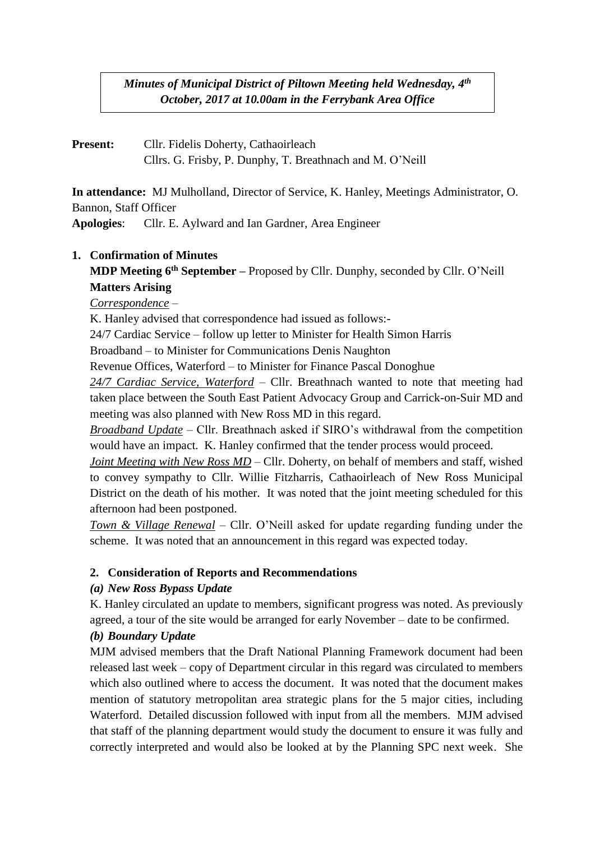## *Minutes of Municipal District of Piltown Meeting held Wednesday, 4 th October, 2017 at 10.00am in the Ferrybank Area Office*

**Present:** Cllr. Fidelis Doherty, Cathaoirleach Cllrs. G. Frisby, P. Dunphy, T. Breathnach and M. O'Neill

**In attendance:** MJ Mulholland, Director of Service, K. Hanley, Meetings Administrator, O. Bannon, Staff Officer

**Apologies**: Cllr. E. Aylward and Ian Gardner, Area Engineer

# **1. Confirmation of Minutes**

**MDP Meeting 6 th September –** Proposed by Cllr. Dunphy, seconded by Cllr. O'Neill **Matters Arising**

*Correspondence* –

K. Hanley advised that correspondence had issued as follows:-

24/7 Cardiac Service – follow up letter to Minister for Health Simon Harris

Broadband – to Minister for Communications Denis Naughton

Revenue Offices, Waterford – to Minister for Finance Pascal Donoghue

*24/7 Cardiac Service, Waterford* – Cllr. Breathnach wanted to note that meeting had taken place between the South East Patient Advocacy Group and Carrick-on-Suir MD and meeting was also planned with New Ross MD in this regard.

*Broadband Update* – Cllr. Breathnach asked if SIRO's withdrawal from the competition would have an impact. K. Hanley confirmed that the tender process would proceed.

*Joint Meeting with New Ross MD – Cllr.* Doherty, on behalf of members and staff, wished to convey sympathy to Cllr. Willie Fitzharris, Cathaoirleach of New Ross Municipal District on the death of his mother. It was noted that the joint meeting scheduled for this afternoon had been postponed.

*Town & Village Renewal* – Cllr. O'Neill asked for update regarding funding under the scheme. It was noted that an announcement in this regard was expected today.

### **2. Consideration of Reports and Recommendations**

### *(a) New Ross Bypass Update*

K. Hanley circulated an update to members, significant progress was noted. As previously agreed, a tour of the site would be arranged for early November – date to be confirmed.

# *(b) Boundary Update*

MJM advised members that the Draft National Planning Framework document had been released last week – copy of Department circular in this regard was circulated to members which also outlined where to access the document. It was noted that the document makes mention of statutory metropolitan area strategic plans for the 5 major cities, including Waterford. Detailed discussion followed with input from all the members. MJM advised that staff of the planning department would study the document to ensure it was fully and correctly interpreted and would also be looked at by the Planning SPC next week. She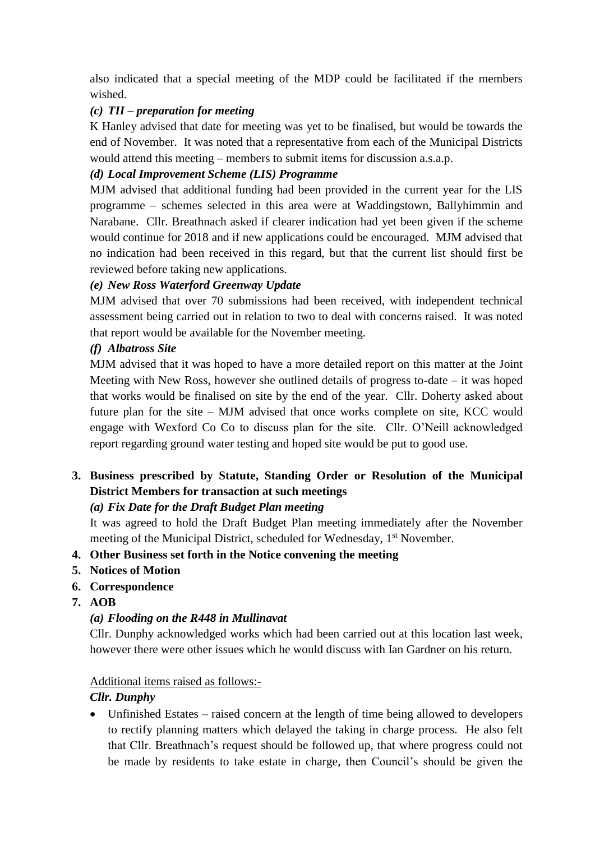also indicated that a special meeting of the MDP could be facilitated if the members wished.

#### *(c) TII – preparation for meeting*

K Hanley advised that date for meeting was yet to be finalised, but would be towards the end of November. It was noted that a representative from each of the Municipal Districts would attend this meeting – members to submit items for discussion a.s.a.p.

#### *(d) Local Improvement Scheme (LIS) Programme*

MJM advised that additional funding had been provided in the current year for the LIS programme – schemes selected in this area were at Waddingstown, Ballyhimmin and Narabane. Cllr. Breathnach asked if clearer indication had yet been given if the scheme would continue for 2018 and if new applications could be encouraged. MJM advised that no indication had been received in this regard, but that the current list should first be reviewed before taking new applications.

### *(e) New Ross Waterford Greenway Update*

MJM advised that over 70 submissions had been received, with independent technical assessment being carried out in relation to two to deal with concerns raised. It was noted that report would be available for the November meeting.

### *(f) Albatross Site*

MJM advised that it was hoped to have a more detailed report on this matter at the Joint Meeting with New Ross, however she outlined details of progress to-date – it was hoped that works would be finalised on site by the end of the year. Cllr. Doherty asked about future plan for the site – MJM advised that once works complete on site, KCC would engage with Wexford Co Co to discuss plan for the site. Cllr. O'Neill acknowledged report regarding ground water testing and hoped site would be put to good use.

# **3. Business prescribed by Statute, Standing Order or Resolution of the Municipal District Members for transaction at such meetings**

### *(a) Fix Date for the Draft Budget Plan meeting*

It was agreed to hold the Draft Budget Plan meeting immediately after the November meeting of the Municipal District, scheduled for Wednesday, 1<sup>st</sup> November.

### **4. Other Business set forth in the Notice convening the meeting**

- **5. Notices of Motion**
- **6. Correspondence**
- **7. AOB**

### *(a) Flooding on the R448 in Mullinavat*

Cllr. Dunphy acknowledged works which had been carried out at this location last week, however there were other issues which he would discuss with Ian Gardner on his return.

#### Additional items raised as follows:-

### *Cllr. Dunphy*

• Unfinished Estates – raised concern at the length of time being allowed to developers to rectify planning matters which delayed the taking in charge process. He also felt that Cllr. Breathnach's request should be followed up, that where progress could not be made by residents to take estate in charge, then Council's should be given the